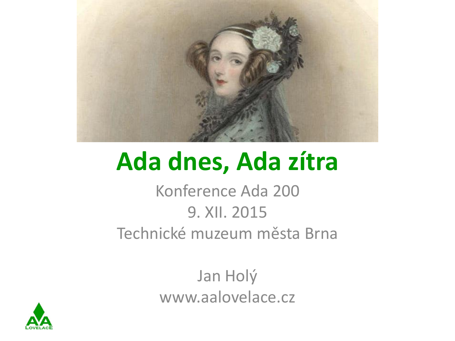

#### **Ada dnes, Ada zítra**

Konference Ada 200 9. XII. 2015 Technické muzeum města Brna

> Jan Holý www.aalovelace.cz

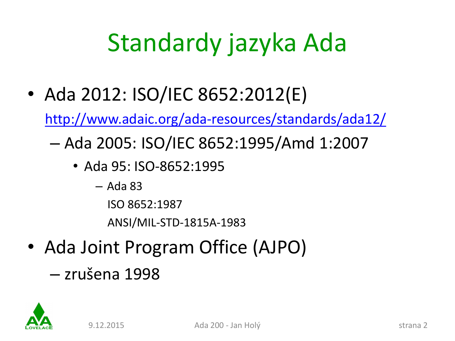### Standardy jazyka Ada

• Ada 2012: ISO/IEC 8652:2012(E)

<http://www.adaic.org/ada-resources/standards/ada12/>

- Ada 2005: ISO/IEC 8652:1995/Amd 1:2007
	- Ada 95: ISO-8652:1995
		- Ada 83
			- ISO 8652:1987

ANSI/MIL-STD-1815A-1983

- Ada Joint Program Office (AJPO)
	- zrušena 1998

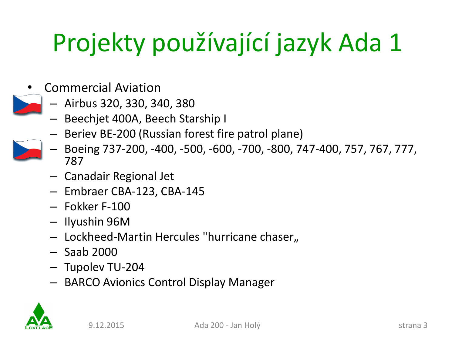- Commercial Aviation
	- Airbus 320, 330, 340, 380
	- Beechjet 400A, Beech Starship I
	- Beriev BE-200 (Russian forest fire patrol plane)
	- Boeing 737-200, -400, -500, -600, -700, -800, 747-400, 757, 767, 777, 787
	- Canadair Regional Jet
	- Embraer CBA-123, CBA-145
	- Fokker F-100
	- Ilyushin 96M
	- $-$  Lockheed-Martin Hercules "hurricane chaser,
	- Saab 2000
	- Tupolev TU-204
	- BARCO Avionics Control Display Manager

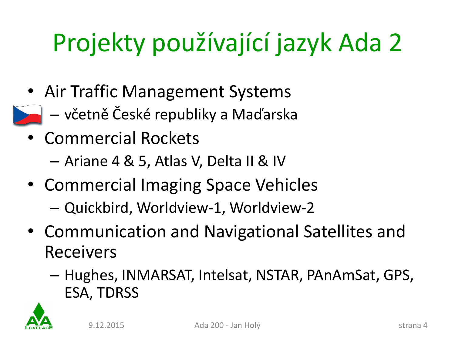- Air Traffic Management Systems
	- včetně České republiky a Maďarska
- Commercial Rockets
	- Ariane 4 & 5, Atlas V, Delta II & IV
- Commercial Imaging Space Vehicles
	- Quickbird, Worldview-1, Worldview-2
- Communication and Navigational Satellites and Receivers
	- Hughes, INMARSAT, Intelsat, NSTAR, PAnAmSat, GPS, ESA, TDRSS

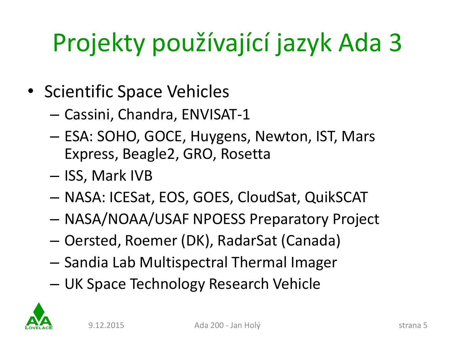- Scientific Space Vehicles
	- Cassini, Chandra, ENVISAT-1
	- ESA: SOHO, GOCE, Huygens, Newton, IST, Mars Express, Beagle2, GRO, Rosetta
	- ISS, Mark IVB
	- NASA: ICESat, EOS, GOES, CloudSat, QuikSCAT
	- NASA/NOAA/USAF NPOESS Preparatory Project
	- Oersted, Roemer (DK), RadarSat (Canada)
	- Sandia Lab Multispectral Thermal Imager
	- UK Space Technology Research Vehicle

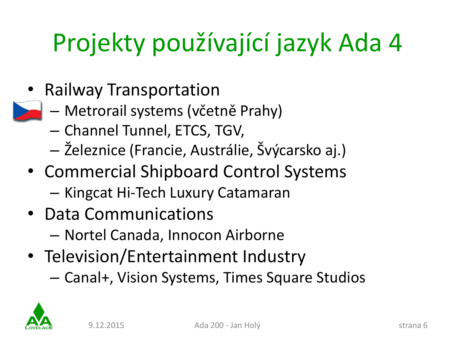- Railway Transportation
	- Metrorail systems (včetně Prahy)
	- Channel Tunnel, ETCS, TGV,
	- Železnice (Francie, Austrálie, Švýcarsko aj.)
- Commercial Shipboard Control Systems – Kingcat Hi-Tech Luxury Catamaran
- Data Communications
	- Nortel Canada, Innocon Airborne
- Television/Entertainment Industry – Canal+, Vision Systems, Times Square Studios

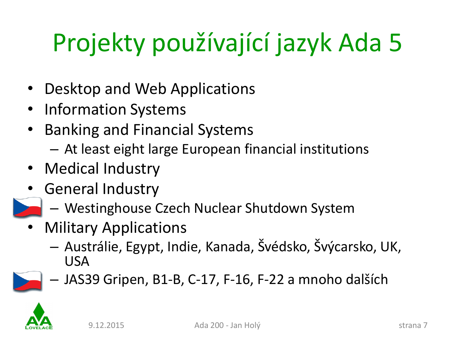- Desktop and Web Applications
- Information Systems
- Banking and Financial Systems
	- At least eight large European financial institutions
- Medical Industry
- General Industry
	- Westinghouse Czech Nuclear Shutdown System
- Military Applications
	- Austrálie, Egypt, Indie, Kanada, Švédsko, Švýcarsko, UK, USA



– JAS39 Gripen, B1-B, C-17, F-16, F-22 a mnoho dalších

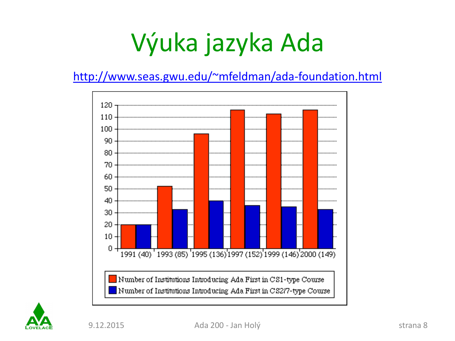### Výuka jazyka Ada

#### <http://www.seas.gwu.edu/~mfeldman/ada-foundation.html>



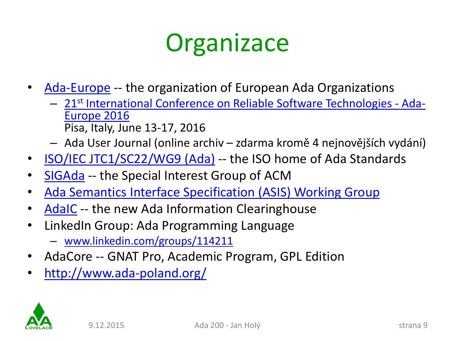#### **Organizace**

- [Ada-Europe](http://www.ada-europe.org/) -- the organization of European Ada Organizations
	- [21](http://www.ada-europe.org/conference2016)[st](http://www.ada-europe.org/conference2016) [International](http://www.ada-europe.org/conference2016) [Conference](http://www.ada-europe.org/conference2016) [on Reliable](http://www.ada-europe.org/conference2016) [Software Technologies -](http://www.ada-europe.org/conference2016) [Ada-](http://www.ada-europe.org/conference2016)[Europe](http://www.ada-europe.org/conference2016) [2016](http://www.ada-europe.org/conference2016) Pisa, Italy, June 13-17, 2016
	- Ada User Journal (online archiv zdarma kromě 4 nejnovějších vydání)
- [ISO/IEC JTC1/SC22/WG9 \(Ada\)](http://www.dkuug.dk/JTC1/SC22/WG9/) -- the ISO home of Ada Standards
- [SIGAda](http://www.acm.org/sigada/) -- the Special Interest Group of ACM
- [Ada Semantics Interface Specification \(ASIS\) Working Group](http://www.acm.org/sigada/wg/asiswg/asiswg.html)
- [AdaIC](http://www.adaic.org/) -- the new Ada Information Clearinghouse
- LinkedIn Group: Ada Programming Language
	- [www.linkedin.com/groups/114211](http://www.linkedin.com/groups/114211)
- AdaCore -- GNAT Pro, Academic Program, GPL Edition
- <http://www.ada-poland.org/>